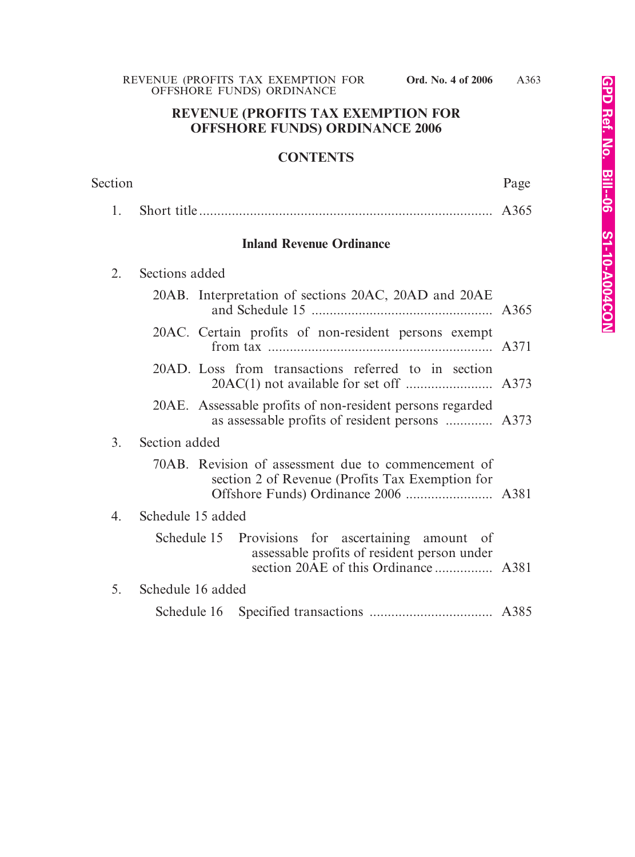# **REVENUE (PROFITS TAX EXEMPTION FOR OFFSHORE FUNDS) ORDINANCE 2006**

## **CONTENTS**

| Section          |                                                                                                              | Page |
|------------------|--------------------------------------------------------------------------------------------------------------|------|
| 1.               |                                                                                                              | A365 |
|                  | <b>Inland Revenue Ordinance</b>                                                                              |      |
| 2.               | Sections added                                                                                               |      |
|                  | 20AB. Interpretation of sections 20AC, 20AD and 20AE                                                         |      |
|                  | 20AC. Certain profits of non-resident persons exempt                                                         |      |
|                  | 20AD. Loss from transactions referred to in section                                                          |      |
|                  | 20AE. Assessable profits of non-resident persons regarded<br>as assessable profits of resident persons  A373 |      |
| $\overline{3}$ . | Section added                                                                                                |      |
|                  | 70AB. Revision of assessment due to commencement of<br>section 2 of Revenue (Profits Tax Exemption for       |      |
| 4.               | Schedule 15 added                                                                                            |      |
|                  | Schedule 15 Provisions for ascertaining amount of<br>assessable profits of resident person under             |      |
| 5.               | Schedule 16 added                                                                                            |      |
|                  |                                                                                                              |      |
|                  |                                                                                                              |      |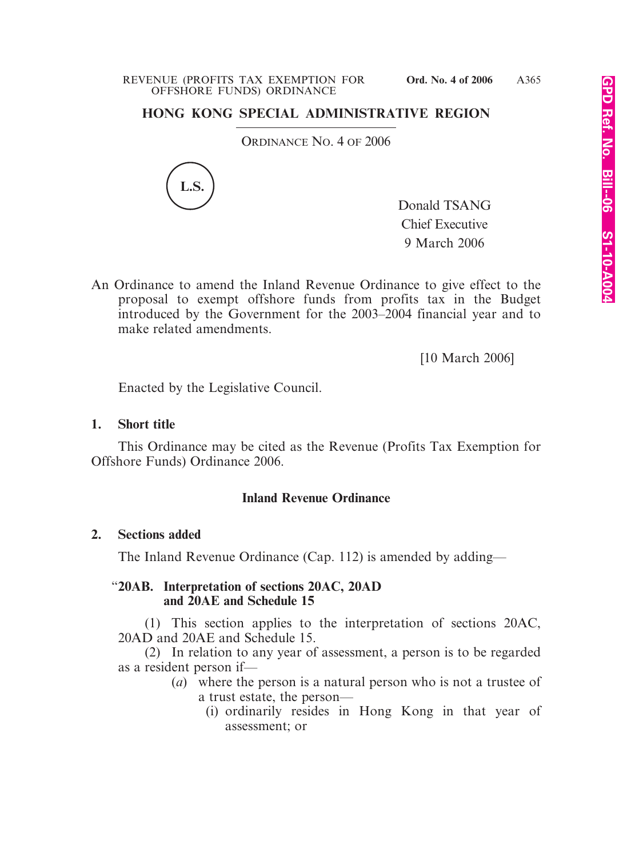# **HONG KONG SPECIAL ADMINISTRATIVE REGION**

ORDINANCE NO. 4 OF 2006



Donald TSANG Chief Executive 9 March 2006

An Ordinance to amend the Inland Revenue Ordinance to give effect to the proposal to exempt offshore funds from profits tax in the Budget introduced by the Government for the 2003–2004 financial year and to make related amendments.

[10 March 2006]

Enacted by the Legislative Council.

## **1. Short title**

This Ordinance may be cited as the Revenue (Profits Tax Exemption for Offshore Funds) Ordinance 2006.

# **Inland Revenue Ordinance**

## **2. Sections added**

The Inland Revenue Ordinance (Cap. 112) is amended by adding—

## "**20AB. Interpretation of sections 20AC, 20AD and 20AE and Schedule 15**

(1) This section applies to the interpretation of sections 20AC, 20AD and 20AE and Schedule 15.

(2) In relation to any year of assessment, a person is to be regarded as a resident person if—

- (*a*) where the person is a natural person who is not a trustee of a trust estate, the person—
	- (i) ordinarily resides in Hong Kong in that year of assessment; or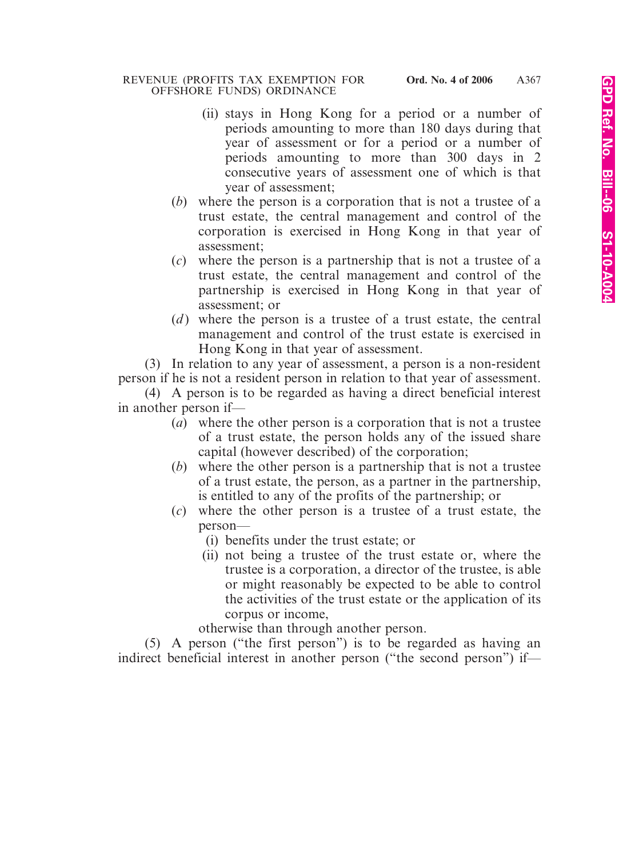- (ii) stays in Hong Kong for a period or a number of periods amounting to more than 180 days during that year of assessment or for a period or a number of periods amounting to more than 300 days in 2 consecutive years of assessment one of which is that year of assessment;
- (*b*) where the person is a corporation that is not a trustee of a trust estate, the central management and control of the corporation is exercised in Hong Kong in that year of assessment;
- (*c*) where the person is a partnership that is not a trustee of a trust estate, the central management and control of the partnership is exercised in Hong Kong in that year of assessment; or
- (*d*) where the person is a trustee of a trust estate, the central management and control of the trust estate is exercised in Hong Kong in that year of assessment.

(3) In relation to any year of assessment, a person is a non-resident person if he is not a resident person in relation to that year of assessment.

(4) A person is to be regarded as having a direct beneficial interest in another person if—

- (*a*) where the other person is a corporation that is not a trustee of a trust estate, the person holds any of the issued share capital (however described) of the corporation;
- (*b*) where the other person is a partnership that is not a trustee of a trust estate, the person, as a partner in the partnership, is entitled to any of the profits of the partnership; or
- (*c*) where the other person is a trustee of a trust estate, the person—
	- (i) benefits under the trust estate; or
	- (ii) not being a trustee of the trust estate or, where the trustee is a corporation, a director of the trustee, is able or might reasonably be expected to be able to control the activities of the trust estate or the application of its corpus or income,

otherwise than through another person.

(5) A person ("the first person") is to be regarded as having an indirect beneficial interest in another person ("the second person") if—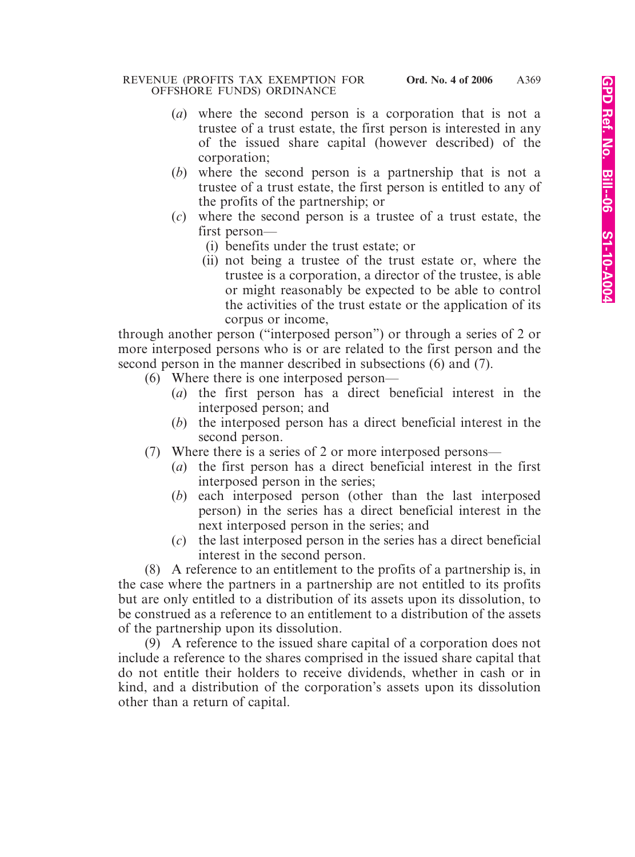- (*a*) where the second person is a corporation that is not a trustee of a trust estate, the first person is interested in any of the issued share capital (however described) of the corporation;
- (*b*) where the second person is a partnership that is not a trustee of a trust estate, the first person is entitled to any of the profits of the partnership; or
- (*c*) where the second person is a trustee of a trust estate, the first person—
	- (i) benefits under the trust estate; or
	- (ii) not being a trustee of the trust estate or, where the trustee is a corporation, a director of the trustee, is able or might reasonably be expected to be able to control the activities of the trust estate or the application of its corpus or income,

through another person ("interposed person") or through a series of 2 or more interposed persons who is or are related to the first person and the second person in the manner described in subsections (6) and (7).

- (6) Where there is one interposed person—
	- (*a*) the first person has a direct beneficial interest in the interposed person; and
	- (*b*) the interposed person has a direct beneficial interest in the second person.
- (7) Where there is a series of 2 or more interposed persons—
	- (*a*) the first person has a direct beneficial interest in the first interposed person in the series;
	- (*b*) each interposed person (other than the last interposed person) in the series has a direct beneficial interest in the next interposed person in the series; and
	- (*c*) the last interposed person in the series has a direct beneficial interest in the second person.

(8) A reference to an entitlement to the profits of a partnership is, in the case where the partners in a partnership are not entitled to its profits but are only entitled to a distribution of its assets upon its dissolution, to be construed as a reference to an entitlement to a distribution of the assets of the partnership upon its dissolution.

(9) A reference to the issued share capital of a corporation does not include a reference to the shares comprised in the issued share capital that do not entitle their holders to receive dividends, whether in cash or in kind, and a distribution of the corporation's assets upon its dissolution other than a return of capital.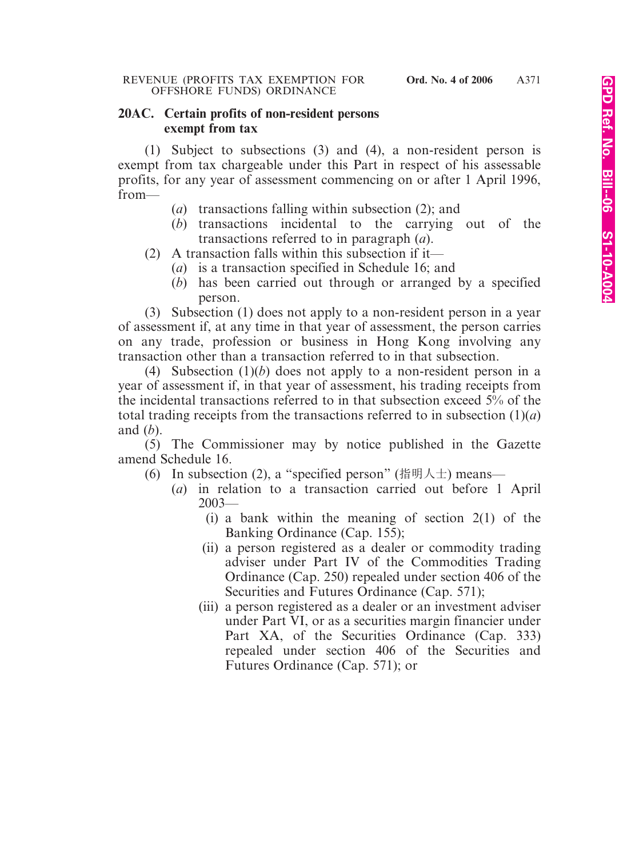### **20AC. Certain profits of non-resident persons exempt from tax**

(1) Subject to subsections (3) and (4), a non-resident person is exempt from tax chargeable under this Part in respect of his assessable profits, for any year of assessment commencing on or after 1 April 1996, from—

- (*a*) transactions falling within subsection (2); and
- (*b*) transactions incidental to the carrying out of the transactions referred to in paragraph (*a*).
- (2) A transaction falls within this subsection if it—
	- (*a*) is a transaction specified in Schedule 16; and
	- (*b*) has been carried out through or arranged by a specified person.

(3) Subsection (1) does not apply to a non-resident person in a year of assessment if, at any time in that year of assessment, the person carries on any trade, profession or business in Hong Kong involving any transaction other than a transaction referred to in that subsection.

(4) Subsection (1)(*b*) does not apply to a non-resident person in a year of assessment if, in that year of assessment, his trading receipts from the incidental transactions referred to in that subsection exceed 5% of the total trading receipts from the transactions referred to in subsection  $(1)(a)$ and (*b*).

(5) The Commissioner may by notice published in the Gazette amend Schedule 16.

- (6) In subsection (2), a "specified person" (指明人士) means—
	- (*a*) in relation to a transaction carried out before 1 April 2003—
		- (i) a bank within the meaning of section  $2(1)$  of the Banking Ordinance (Cap. 155);
		- (ii) a person registered as a dealer or commodity trading adviser under Part IV of the Commodities Trading Ordinance (Cap. 250) repealed under section 406 of the Securities and Futures Ordinance (Cap. 571);
		- (iii) a person registered as a dealer or an investment adviser under Part VI, or as a securities margin financier under Part XA, of the Securities Ordinance (Cap. 333) repealed under section 406 of the Securities and Futures Ordinance (Cap. 571); or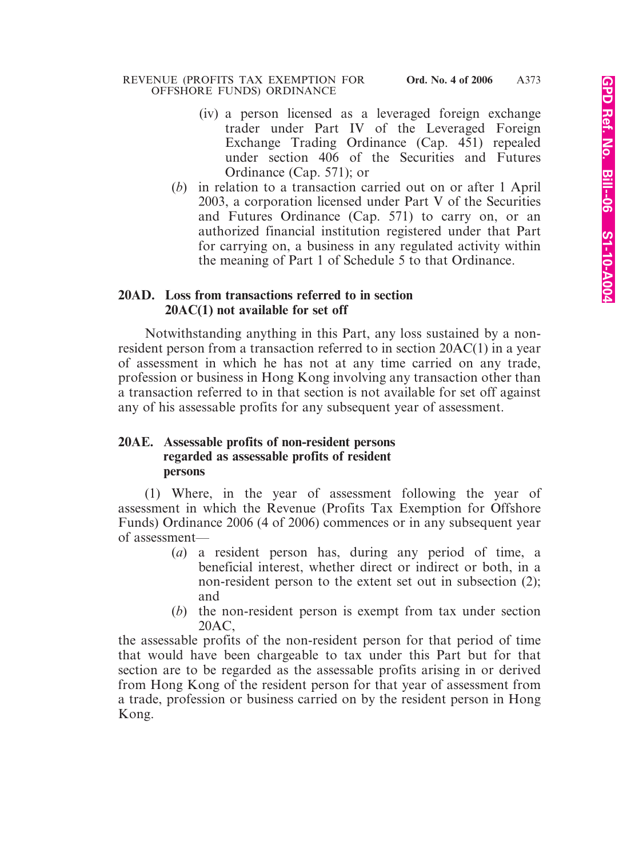- (iv) a person licensed as a leveraged foreign exchange trader under Part IV of the Leveraged Foreign Exchange Trading Ordinance (Cap. 451) repealed under section 406 of the Securities and Futures Ordinance (Cap. 571); or
- (*b*) in relation to a transaction carried out on or after 1 April 2003, a corporation licensed under Part V of the Securities and Futures Ordinance (Cap. 571) to carry on, or an authorized financial institution registered under that Part for carrying on, a business in any regulated activity within the meaning of Part 1 of Schedule 5 to that Ordinance.

## **20AD. Loss from transactions referred to in section 20AC(1) not available for set off**

Notwithstanding anything in this Part, any loss sustained by a nonresident person from a transaction referred to in section 20AC(1) in a year of assessment in which he has not at any time carried on any trade, profession or business in Hong Kong involving any transaction other than a transaction referred to in that section is not available for set off against any of his assessable profits for any subsequent year of assessment.

### **20AE. Assessable profits of non-resident persons regarded as assessable profits of resident persons**

(1) Where, in the year of assessment following the year of assessment in which the Revenue (Profits Tax Exemption for Offshore Funds) Ordinance 2006 (4 of 2006) commences or in any subsequent year of assessment—

- (*a*) a resident person has, during any period of time, a beneficial interest, whether direct or indirect or both, in a non-resident person to the extent set out in subsection (2); and
- (*b*) the non-resident person is exempt from tax under section 20AC,

the assessable profits of the non-resident person for that period of time that would have been chargeable to tax under this Part but for that section are to be regarded as the assessable profits arising in or derived from Hong Kong of the resident person for that year of assessment from a trade, profession or business carried on by the resident person in Hong Kong.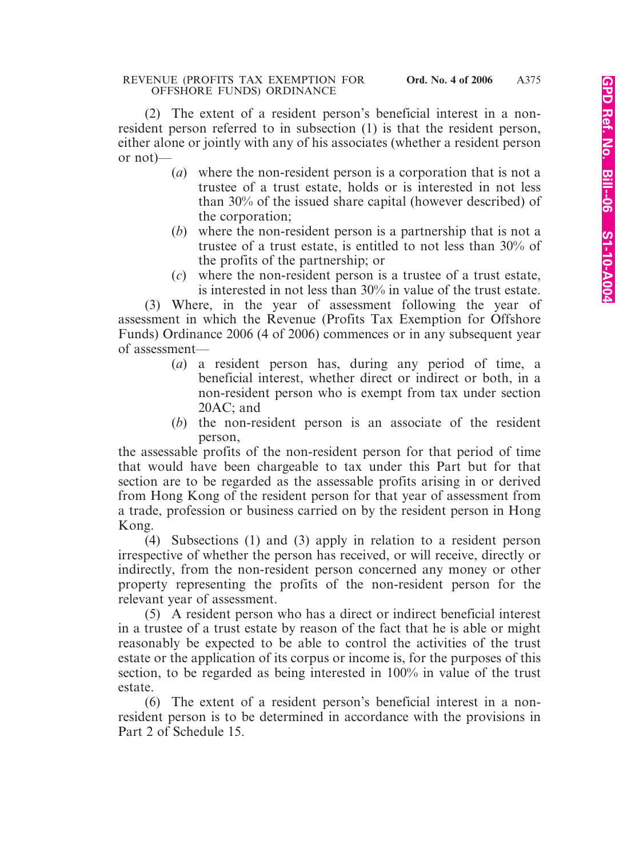(2) The extent of a resident person's beneficial interest in a nonresident person referred to in subsection (1) is that the resident person, either alone or jointly with any of his associates (whether a resident person or not)—

- (*a*) where the non-resident person is a corporation that is not a trustee of a trust estate, holds or is interested in not less than 30% of the issued share capital (however described) of the corporation;
- (*b*) where the non-resident person is a partnership that is not a trustee of a trust estate, is entitled to not less than 30% of the profits of the partnership; or
- (*c*) where the non-resident person is a trustee of a trust estate, is interested in not less than 30% in value of the trust estate.

(3) Where, in the year of assessment following the year of assessment in which the Revenue (Profits Tax Exemption for Offshore Funds) Ordinance 2006 (4 of 2006) commences or in any subsequent year of assessment—

- (*a*) a resident person has, during any period of time, a beneficial interest, whether direct or indirect or both, in a non-resident person who is exempt from tax under section 20AC; and
- (*b*) the non-resident person is an associate of the resident person,

the assessable profits of the non-resident person for that period of time that would have been chargeable to tax under this Part but for that section are to be regarded as the assessable profits arising in or derived from Hong Kong of the resident person for that year of assessment from a trade, profession or business carried on by the resident person in Hong Kong.

(4) Subsections (1) and (3) apply in relation to a resident person irrespective of whether the person has received, or will receive, directly or indirectly, from the non-resident person concerned any money or other property representing the profits of the non-resident person for the relevant year of assessment.

(5) A resident person who has a direct or indirect beneficial interest in a trustee of a trust estate by reason of the fact that he is able or might reasonably be expected to be able to control the activities of the trust estate or the application of its corpus or income is, for the purposes of this section, to be regarded as being interested in 100% in value of the trust estate.

(6) The extent of a resident person's beneficial interest in a nonresident person is to be determined in accordance with the provisions in Part 2 of Schedule 15.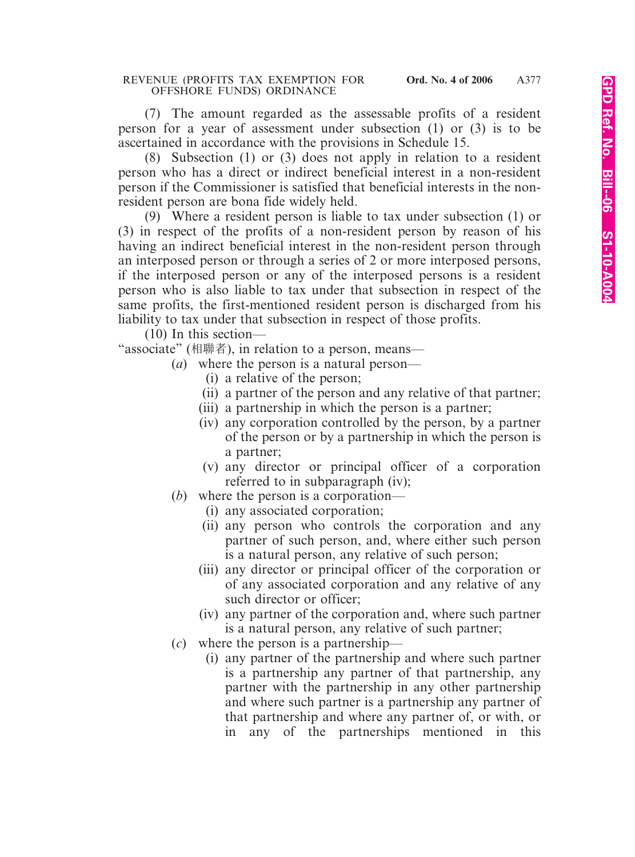(7) The amount regarded as the assessable profits of a resident person for a year of assessment under subsection (1) or (3) is to be ascertained in accordance with the provisions in Schedule 15.

(8) Subsection (1) or (3) does not apply in relation to a resident person who has a direct or indirect beneficial interest in a non-resident person if the Commissioner is satisfied that beneficial interests in the nonresident person are bona fide widely held.

(9) Where a resident person is liable to tax under subsection (1) or (3) in respect of the profits of a non-resident person by reason of his having an indirect beneficial interest in the non-resident person through an interposed person or through a series of 2 or more interposed persons, if the interposed person or any of the interposed persons is a resident person who is also liable to tax under that subsection in respect of the same profits, the first-mentioned resident person is discharged from his liability to tax under that subsection in respect of those profits.

(10) In this section—

"associate" (相聯者), in relation to a person, means—

- (*a*) where the person is a natural person—
	- (i) a relative of the person;
	- (ii) a partner of the person and any relative of that partner;
	- (iii) a partnership in which the person is a partner;
	- (iv) any corporation controlled by the person, by a partner of the person or by a partnership in which the person is a partner;
	- (v) any director or principal officer of a corporation referred to in subparagraph (iv);
- (*b*) where the person is a corporation—
	- (i) any associated corporation;
	- (ii) any person who controls the corporation and any partner of such person, and, where either such person is a natural person, any relative of such person;
	- (iii) any director or principal officer of the corporation or of any associated corporation and any relative of any such director or officer;
	- (iv) any partner of the corporation and, where such partner is a natural person, any relative of such partner;
- (*c*) where the person is a partnership—
	- (i) any partner of the partnership and where such partner is a partnership any partner of that partnership, any partner with the partnership in any other partnership and where such partner is a partnership any partner of that partnership and where any partner of, or with, or in any of the partnerships mentioned in this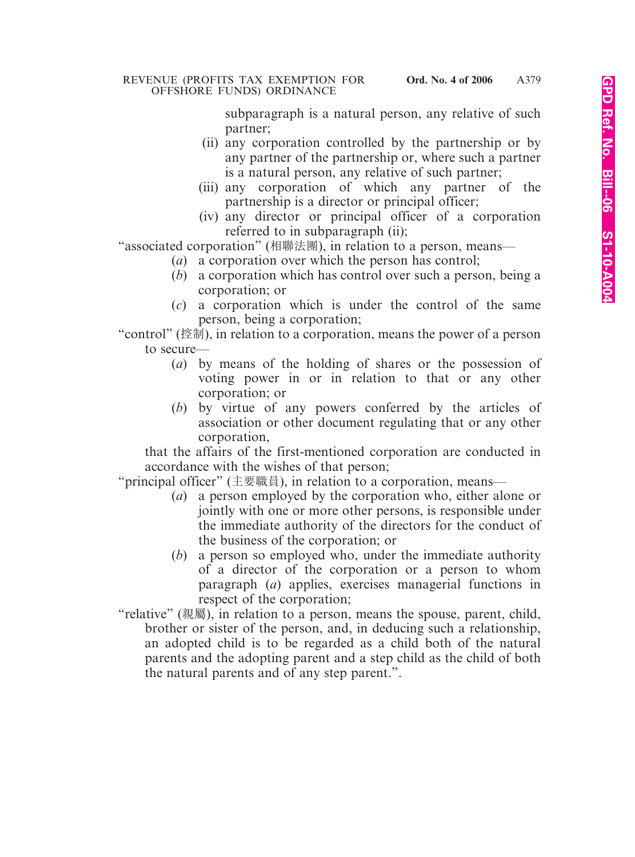subparagraph is a natural person, any relative of such partner;

- (ii) any corporation controlled by the partnership or by any partner of the partnership or, where such a partner is a natural person, any relative of such partner;
- (iii) any corporation of which any partner of the partnership is a director or principal officer;
- (iv) any director or principal officer of a corporation referred to in subparagraph (ii);

"associated corporation" (相聯法團), in relation to a person, means—

- (*a*) a corporation over which the person has control;
- (*b*) a corporation which has control over such a person, being a corporation; or
- (*c*) a corporation which is under the control of the same person, being a corporation;

"control" (控制), in relation to a corporation, means the power of a person to secure—

- (*a*) by means of the holding of shares or the possession of voting power in or in relation to that or any other corporation; or
- (*b*) by virtue of any powers conferred by the articles of association or other document regulating that or any other corporation,

that the affairs of the first-mentioned corporation are conducted in accordance with the wishes of that person;

"principal officer" (主要職員), in relation to a corporation, means—

- (*a*) a person employed by the corporation who, either alone or jointly with one or more other persons, is responsible under the immediate authority of the directors for the conduct of the business of the corporation; or
- (*b*) a person so employed who, under the immediate authority of a director of the corporation or a person to whom paragraph (*a*) applies, exercises managerial functions in respect of the corporation;
- "relative" (親屬), in relation to a person, means the spouse, parent, child, brother or sister of the person, and, in deducing such a relationship, an adopted child is to be regarded as a child both of the natural parents and the adopting parent and a step child as the child of both the natural parents and of any step parent.".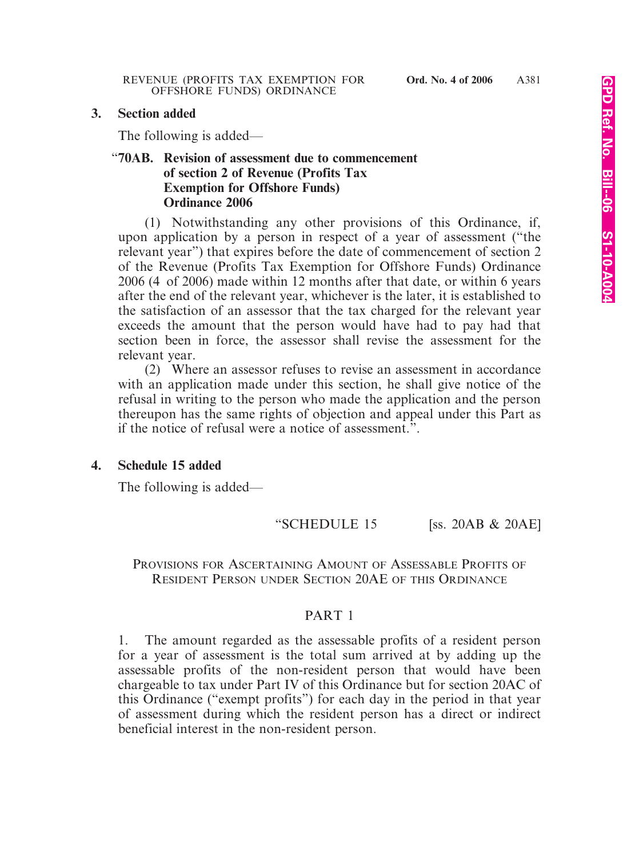#### **3. Section added**

The following is added—

## "**70AB. Revision of assessment due to commencement of section 2 of Revenue (Profits Tax Exemption for Offshore Funds) Ordinance 2006**

(1) Notwithstanding any other provisions of this Ordinance, if, upon application by a person in respect of a year of assessment ("the relevant year") that expires before the date of commencement of section 2 of the Revenue (Profits Tax Exemption for Offshore Funds) Ordinance 2006 (4 of 2006) made within 12 months after that date, or within 6 years after the end of the relevant year, whichever is the later, it is established to the satisfaction of an assessor that the tax charged for the relevant year exceeds the amount that the person would have had to pay had that section been in force, the assessor shall revise the assessment for the relevant year.

(2) Where an assessor refuses to revise an assessment in accordance with an application made under this section, he shall give notice of the refusal in writing to the person who made the application and the person thereupon has the same rights of objection and appeal under this Part as if the notice of refusal were a notice of assessment.".

#### **4. Schedule 15 added**

The following is added—

"SCHEDULE 15 [ss. 20AB & 20AE]

#### PROVISIONS FOR ASCERTAINING AMOUNT OF ASSESSABLE PROFITS OF RESIDENT PERSON UNDER SECTION 20AE OF THIS ORDINANCE

#### PART 1

1. The amount regarded as the assessable profits of a resident person for a year of assessment is the total sum arrived at by adding up the assessable profits of the non-resident person that would have been chargeable to tax under Part IV of this Ordinance but for section 20AC of this Ordinance ("exempt profits") for each day in the period in that year of assessment during which the resident person has a direct or indirect beneficial interest in the non-resident person.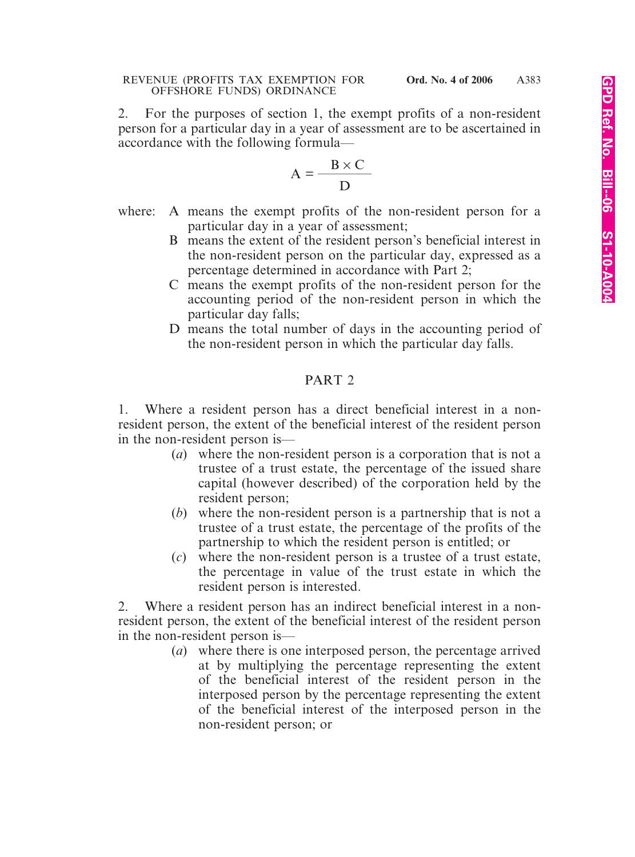2. For the purposes of section 1, the exempt profits of a non-resident person for a particular day in a year of assessment are to be ascertained in accordance with the following formula—

$$
A = \frac{B \times C}{D}
$$

- where: A means the exempt profits of the non-resident person for a particular day in a year of assessment;
	- B means the extent of the resident person's beneficial interest in the non-resident person on the particular day, expressed as a percentage determined in accordance with Part 2;
	- C means the exempt profits of the non-resident person for the accounting period of the non-resident person in which the particular day falls;
	- D means the total number of days in the accounting period of the non-resident person in which the particular day falls.

# PART 2

1. Where a resident person has a direct beneficial interest in a nonresident person, the extent of the beneficial interest of the resident person in the non-resident person is—

- (*a*) where the non-resident person is a corporation that is not a trustee of a trust estate, the percentage of the issued share capital (however described) of the corporation held by the resident person;
- (*b*) where the non-resident person is a partnership that is not a trustee of a trust estate, the percentage of the profits of the partnership to which the resident person is entitled; or
- (*c*) where the non-resident person is a trustee of a trust estate, the percentage in value of the trust estate in which the resident person is interested.

2. Where a resident person has an indirect beneficial interest in a nonresident person, the extent of the beneficial interest of the resident person in the non-resident person is—

(*a*) where there is one interposed person, the percentage arrived at by multiplying the percentage representing the extent of the beneficial interest of the resident person in the interposed person by the percentage representing the extent of the beneficial interest of the interposed person in the non-resident person; or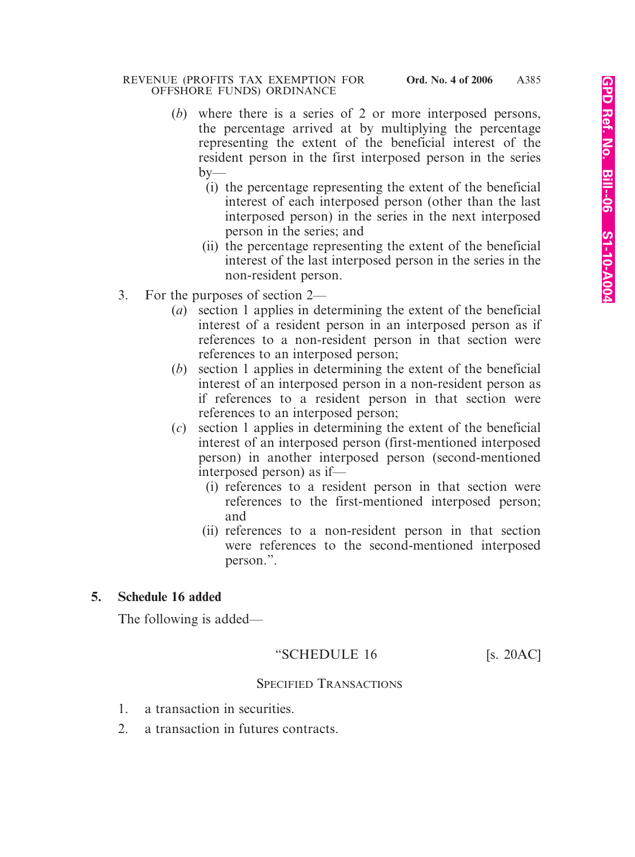- (*b*) where there is a series of 2 or more interposed persons, the percentage arrived at by multiplying the percentage representing the extent of the beneficial interest of the resident person in the first interposed person in the series  $by-$ 
	- (i) the percentage representing the extent of the beneficial interest of each interposed person (other than the last interposed person) in the series in the next interposed person in the series; and
	- (ii) the percentage representing the extent of the beneficial interest of the last interposed person in the series in the non-resident person.
- 3. For the purposes of section 2—
	- (*a*) section 1 applies in determining the extent of the beneficial interest of a resident person in an interposed person as if references to a non-resident person in that section were references to an interposed person;
	- (*b*) section 1 applies in determining the extent of the beneficial interest of an interposed person in a non-resident person as if references to a resident person in that section were references to an interposed person;
	- (*c*) section 1 applies in determining the extent of the beneficial interest of an interposed person (first-mentioned interposed person) in another interposed person (second-mentioned interposed person) as if—
		- (i) references to a resident person in that section were references to the first-mentioned interposed person; and
		- (ii) references to a non-resident person in that section were references to the second-mentioned interposed person.".

# **5. Schedule 16 added**

The following is added—

## "SCHEDULE  $16$  [s. 20AC]

## SPECIFIED TRANSACTIONS

- 1. a transaction in securities.
- 2. a transaction in futures contracts.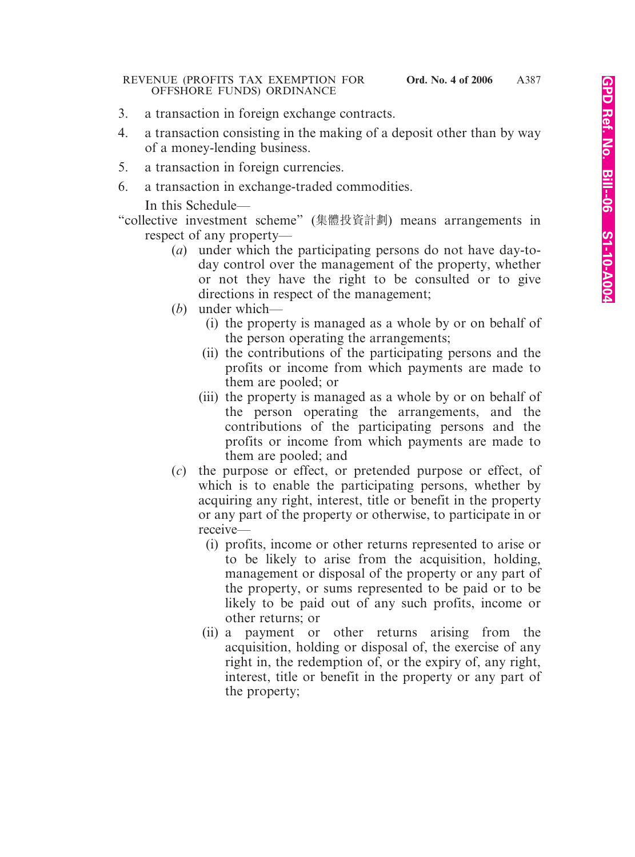- 3. a transaction in foreign exchange contracts.
- 4. a transaction consisting in the making of a deposit other than by way of a money-lending business.
- 5. a transaction in foreign currencies.
- 6. a transaction in exchange-traded commodities.

In this Schedule—

"collective investment scheme" (集體投資計劃) means arrangements in respect of any property—

- (*a*) under which the participating persons do not have day-today control over the management of the property, whether or not they have the right to be consulted or to give directions in respect of the management;
- (*b*) under which—
	- (i) the property is managed as a whole by or on behalf of the person operating the arrangements;
	- (ii) the contributions of the participating persons and the profits or income from which payments are made to them are pooled; or
	- (iii) the property is managed as a whole by or on behalf of the person operating the arrangements, and the contributions of the participating persons and the profits or income from which payments are made to them are pooled; and
- (*c*) the purpose or effect, or pretended purpose or effect, of which is to enable the participating persons, whether by acquiring any right, interest, title or benefit in the property or any part of the property or otherwise, to participate in or receive—
	- (i) profits, income or other returns represented to arise or to be likely to arise from the acquisition, holding, management or disposal of the property or any part of the property, or sums represented to be paid or to be likely to be paid out of any such profits, income or other returns; or
	- (ii) a payment or other returns arising from the acquisition, holding or disposal of, the exercise of any right in, the redemption of, or the expiry of, any right, interest, title or benefit in the property or any part of the property;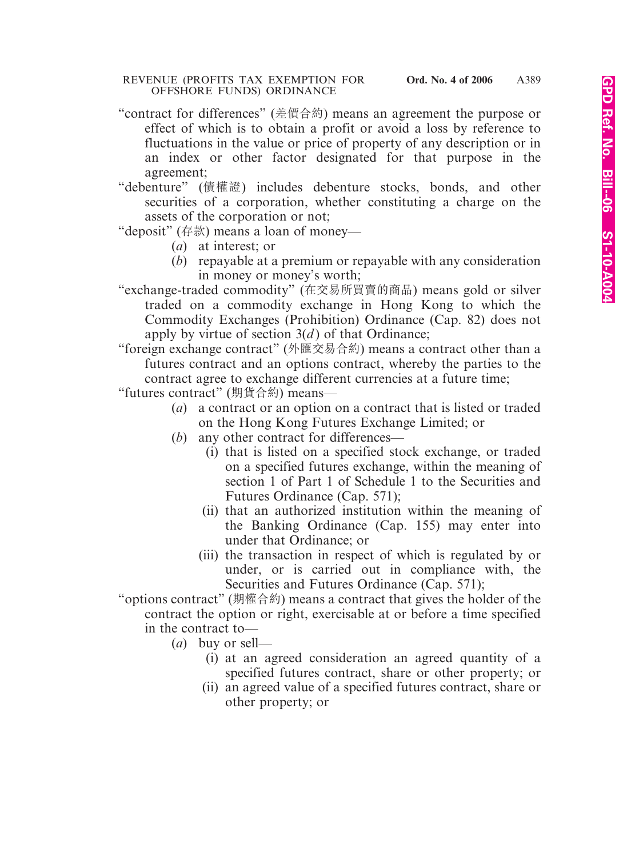- "contract for differences" (差價合約) means an agreement the purpose or effect of which is to obtain a profit or avoid a loss by reference to fluctuations in the value or price of property of any description or in an index or other factor designated for that purpose in the agreement;
- "debenture" (債權證) includes debenture stocks, bonds, and other securities of a corporation, whether constituting a charge on the assets of the corporation or not;
- "deposit" (存款) means a loan of money—
	- (*a*) at interest; or
	- (*b*) repayable at a premium or repayable with any consideration in money or money's worth;
- "exchange-traded commodity" (在交易所買賣的商品) means gold or silver traded on a commodity exchange in Hong Kong to which the Commodity Exchanges (Prohibition) Ordinance (Cap. 82) does not apply by virtue of section  $3(d)$  of that Ordinance;
- "foreign exchange contract" (外匯交易合約) means a contract other than a futures contract and an options contract, whereby the parties to the contract agree to exchange different currencies at a future time;
- "futures contract" (期貨合約) means—
	- (*a*) a contract or an option on a contract that is listed or traded on the Hong Kong Futures Exchange Limited; or
	- (*b*) any other contract for differences—
		- (i) that is listed on a specified stock exchange, or traded on a specified futures exchange, within the meaning of section 1 of Part 1 of Schedule 1 to the Securities and Futures Ordinance (Cap. 571);
		- (ii) that an authorized institution within the meaning of the Banking Ordinance (Cap. 155) may enter into under that Ordinance; or
		- (iii) the transaction in respect of which is regulated by or under, or is carried out in compliance with, the Securities and Futures Ordinance (Cap. 571);

"options contract" (期權合約) means a contract that gives the holder of the contract the option or right, exercisable at or before a time specified in the contract to—

- (*a*) buy or sell—
	- (i) at an agreed consideration an agreed quantity of a specified futures contract, share or other property; or
	- (ii) an agreed value of a specified futures contract, share or other property; or